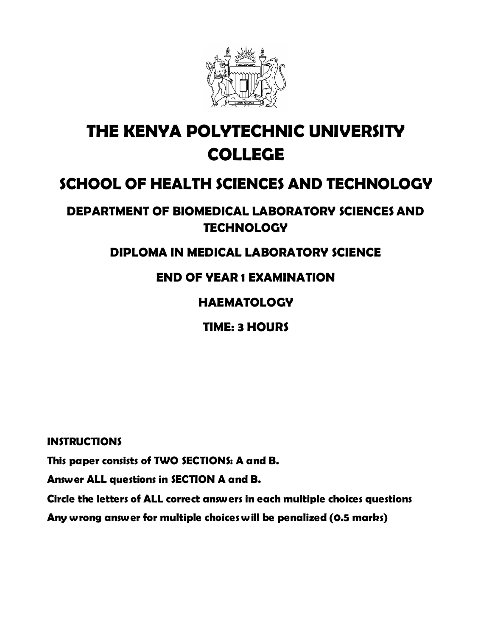

# **THE KENYA POLYTECHNIC UNIVERSITY COLLEGE**

## **SCHOOL OF HEALTH SCIENCES AND TECHNOLOGY**

## **DEPARTMENT OF BIOMEDICAL LABORATORY SCIENCES AND TECHNOLOGY**

#### **DIPLOMA IN MEDICAL LABORATORY SCIENCE**

## **END OF YEAR 1 EXAMINATION**

#### **HAEMATOLOGY**

## **TIME: 3 HOURS**

#### **INSTRUCTIONS**

**This paper consists of TWO SECTIONS: A and B.** 

**Answer ALL questions in SECTION A and B.**

**Circle the letters of ALL correct answers in each multiple choices questions** 

**Any wrong answer for multiple choices will be penalized (0.5 marks)**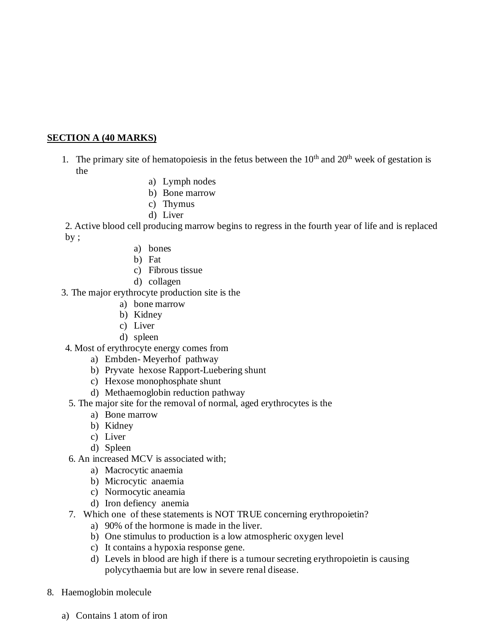#### **SECTION A (40 MARKS)**

- 1. The primary site of hematopoiesis in the fetus between the  $10<sup>th</sup>$  and  $20<sup>th</sup>$  week of gestation is the
	- a) Lymph nodes
	- b) Bone marrow
	- c) Thymus
	- d) Liver

2. Active blood cell producing marrow begins to regress in the fourth year of life and is replaced by ;

- a) bones
- b) Fat
- c) Fibrous tissue
- d) collagen
- 3. The major erythrocyte production site is the
	- a) bone marrow
	- b) Kidney
	- c) Liver
	- d) spleen
- 4. Most of erythrocyte energy comes from
	- a) Embden- Meyerhof pathway
	- b) Pryvate hexose Rapport-Luebering shunt
	- c) Hexose monophosphate shunt
	- d) Methaemoglobin reduction pathway
- 5. The major site for the removal of normal, aged erythrocytes is the
	- a) Bone marrow
	- b) Kidney
	- c) Liver
	- d) Spleen
- 6. An increased MCV is associated with;
	- a) Macrocytic anaemia
	- b) Microcytic anaemia
	- c) Normocytic aneamia
	- d) Iron defiency anemia
- 7. Which one of these statements is NOT TRUE concerning erythropoietin?
	- a) 90% of the hormone is made in the liver.
	- b) One stimulus to production is a low atmospheric oxygen level
	- c) It contains a hypoxia response gene.
	- d) Levels in blood are high if there is a tumour secreting erythropoietin is causing polycythaemia but are low in severe renal disease.
- 8. Haemoglobin molecule
	- a) Contains 1 atom of iron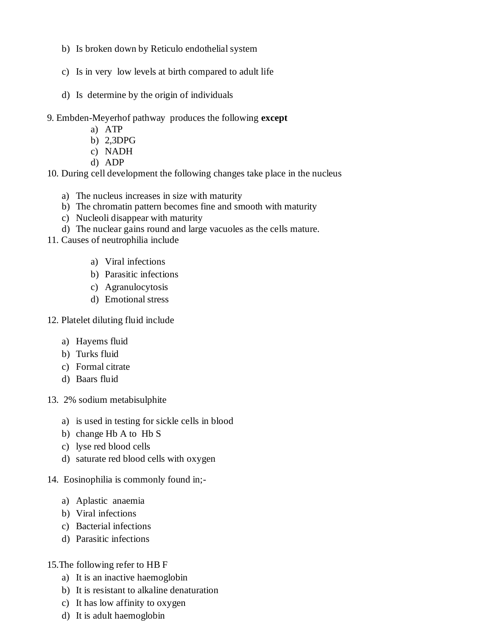- b) Is broken down by Reticulo endothelial system
- c) Is in very low levels at birth compared to adult life
- d) Is determine by the origin of individuals
- 9. Embden-Meyerhof pathway produces the following **except**
	- a) ATP
	- b) 2,3DPG
	- c) NADH
	- d) ADP

10. During cell development the following changes take place in the nucleus

- a) The nucleus increases in size with maturity
- b) The chromatin pattern becomes fine and smooth with maturity
- c) Nucleoli disappear with maturity
- d) The nuclear gains round and large vacuoles as the cells mature.
- 11. Causes of neutrophilia include
	- a) Viral infections
	- b) Parasitic infections
	- c) Agranulocytosis
	- d) Emotional stress
- 12. Platelet diluting fluid include
	- a) Hayems fluid
	- b) Turks fluid
	- c) Formal citrate
	- d) Baars fluid
- 13. 2% sodium metabisulphite
	- a) is used in testing for sickle cells in blood
	- b) change Hb A to Hb S
	- c) lyse red blood cells
	- d) saturate red blood cells with oxygen
- 14. Eosinophilia is commonly found in;
	- a) Aplastic anaemia
	- b) Viral infections
	- c) Bacterial infections
	- d) Parasitic infections
- 15.The following refer to HB F
	- a) It is an inactive haemoglobin
	- b) It is resistant to alkaline denaturation
	- c) It has low affinity to oxygen
	- d) It is adult haemoglobin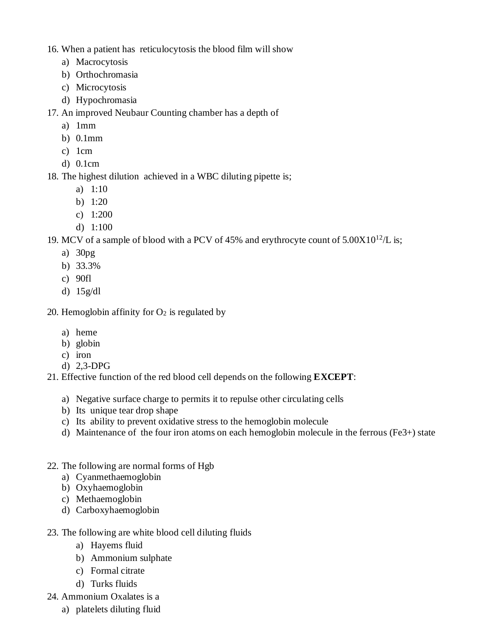16. When a patient has reticulocytosis the blood film will show

- a) Macrocytosis
- b) Orthochromasia
- c) Microcytosis
- d) Hypochromasia

17. An improved Neubaur Counting chamber has a depth of

- a) 1mm
- b) 0.1mm
- c) 1cm
- d) 0.1cm

18. The highest dilution achieved in a WBC diluting pipette is;

- a) 1:10
- b) 1:20
- c) 1:200
- d) 1:100

19. MCV of a sample of blood with a PCV of 45% and erythrocyte count of  $5.00X10^{12}/L$  is;

- a) 30pg
- b) 33.3%
- c) 90fl
- d) 15g/dl

20. Hemoglobin affinity for  $O_2$  is regulated by

- a) heme
- b) globin
- c) iron
- d) 2,3-DPG
- 21. Effective function of the red blood cell depends on the following **EXCEPT**:
	- a) Negative surface charge to permits it to repulse other circulating cells
	- b) Its unique tear drop shape
	- c) Its ability to prevent oxidative stress to the hemoglobin molecule
	- d) Maintenance of the four iron atoms on each hemoglobin molecule in the ferrous (Fe3+) state
- 22. The following are normal forms of Hgb
	- a) Cyanmethaemoglobin
	- b) Oxyhaemoglobin
	- c) Methaemoglobin
	- d) Carboxyhaemoglobin
- 23. The following are white blood cell diluting fluids
	- a) Hayems fluid
	- b) Ammonium sulphate
	- c) Formal citrate
	- d) Turks fluids
- 24. Ammonium Oxalates is a
	- a) platelets diluting fluid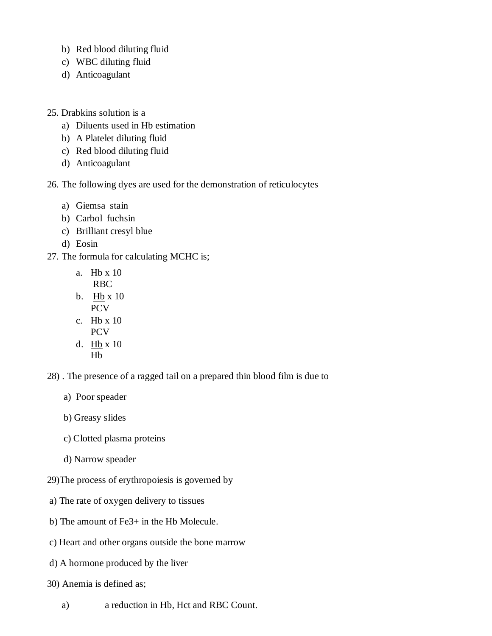- b) Red blood diluting fluid
- c) WBC diluting fluid
- d) Anticoagulant
- 25. Drabkins solution is a
	- a) Diluents used in Hb estimation
	- b) A Platelet diluting fluid
	- c) Red blood diluting fluid
	- d) Anticoagulant
- 26. The following dyes are used for the demonstration of reticulocytes
	- a) Giemsa stain
	- b) Carbol fuchsin
	- c) Brilliant cresyl blue
	- d) Eosin
- 27. The formula for calculating MCHC is;
	- a. Hb x 10 RBC
	- b. Hb x 10 PCV
	- c. Hb x 10 PCV
	- d. Hb x 10 Hb
- 28) . The presence of a ragged tail on a prepared thin blood film is due to
	- a) Poor speader
	- b) Greasy slides
	- c) Clotted plasma proteins
	- d) Narrow speader
- 29)The process of erythropoiesis is governed by
- a) The rate of oxygen delivery to tissues
- b) The amount of Fe3+ in the Hb Molecule.
- c) Heart and other organs outside the bone marrow
- d) A hormone produced by the liver
- 30) Anemia is defined as;
	- a) a reduction in Hb, Hct and RBC Count.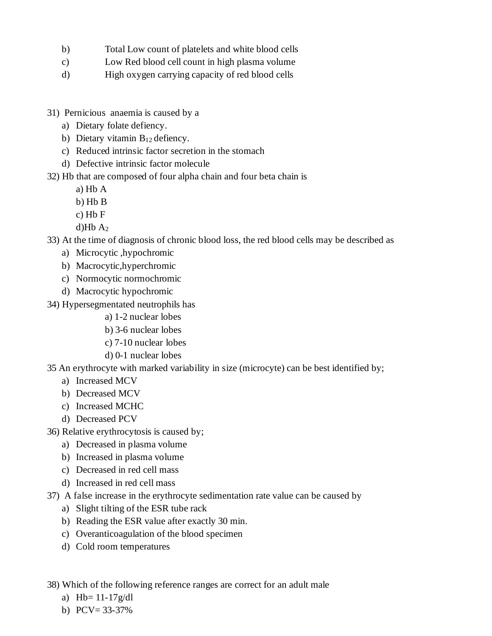- b) Total Low count of platelets and white blood cells
- c) Low Red blood cell count in high plasma volume
- d) High oxygen carrying capacity of red blood cells
- 31) Pernicious anaemia is caused by a
	- a) Dietary folate defiency.
	- b) Dietary vitamin  $B_{12}$  defiency.
	- c) Reduced intrinsic factor secretion in the stomach
	- d) Defective intrinsic factor molecule
- 32) Hb that are composed of four alpha chain and four beta chain is
	- a) Hb A
	- b) Hb B
	- c) Hb F
	- d) $Hb A<sub>2</sub>$
- 33) At the time of diagnosis of chronic blood loss, the red blood cells may be described as
	- a) Microcytic ,hypochromic
	- b) Macrocytic,hyperchromic
	- c) Normocytic normochromic
	- d) Macrocytic hypochromic
- 34) Hypersegmentated neutrophils has
	- a) 1-2 nuclear lobes
	- b) 3-6 nuclear lobes
	- c) 7-10 nuclear lobes
	- d) 0-1 nuclear lobes
- 35 An erythrocyte with marked variability in size (microcyte) can be best identified by;
	- a) Increased MCV
	- b) Decreased MCV
	- c) Increased MCHC
	- d) Decreased PCV
- 36) Relative erythrocytosis is caused by;
	- a) Decreased in plasma volume
	- b) Increased in plasma volume
	- c) Decreased in red cell mass
	- d) Increased in red cell mass
- 37) A false increase in the erythrocyte sedimentation rate value can be caused by
	- a) Slight tilting of the ESR tube rack
	- b) Reading the ESR value after exactly 30 min.
	- c) Overanticoagulation of the blood specimen
	- d) Cold room temperatures

38) Which of the following reference ranges are correct for an adult male

- a)  $Hb = 11-17g/dl$
- b) PCV= 33-37%